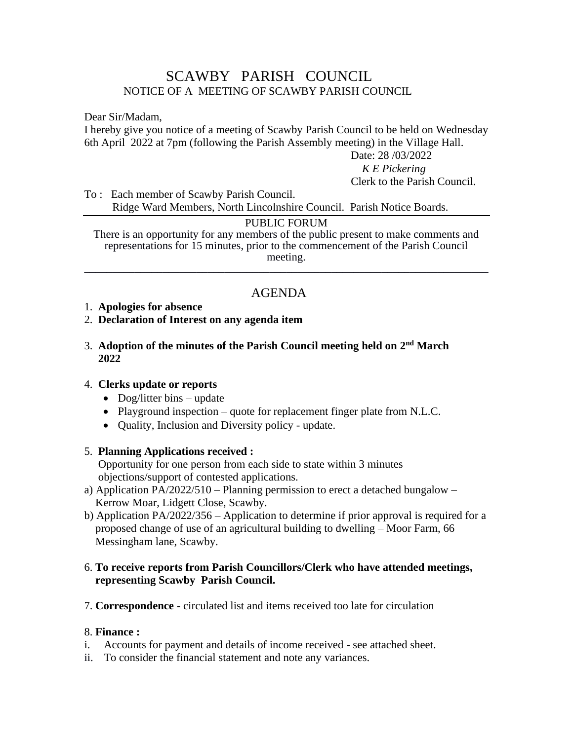# SCAWBY PARISH COUNCIL NOTICE OF A MEETING OF SCAWBY PARISH COUNCIL

Dear Sir/Madam,

I hereby give you notice of a meeting of Scawby Parish Council to be held on Wednesday 6th April 2022 at 7pm (following the Parish Assembly meeting) in the Village Hall.

Date: 28 /03/2022

 *K E Pickering* Clerk to the Parish Council.

To : Each member of Scawby Parish Council. Ridge Ward Members, North Lincolnshire Council. Parish Notice Boards.

## PUBLIC FORUM

There is an opportunity for any members of the public present to make comments and representations for 15 minutes, prior to the commencement of the Parish Council meeting. \_\_\_\_\_\_\_\_\_\_\_\_\_\_\_\_\_\_\_\_\_\_\_\_\_\_\_\_\_\_\_\_\_\_\_\_\_\_\_\_\_\_\_\_\_\_\_\_\_\_\_\_\_\_\_\_\_\_\_\_\_\_\_\_\_\_\_\_\_\_\_\_

# AGENDA

## 1. **Apologies for absence**

## 2. **Declaration of Interest on any agenda item**

#### 3. Adoption of the minutes of the Parish Council meeting held on 2<sup>nd</sup> March  **2022**

#### 4. **Clerks update or reports**

- Dog/litter bins update
- Playground inspection quote for replacement finger plate from N.L.C.
- Ouality, Inclusion and Diversity policy update.

# 5. **Planning Applications received :**

Opportunity for one person from each side to state within 3 minutes objections/support of contested applications.

- a) Application PA/2022/510 Planning permission to erect a detached bungalow Kerrow Moar, Lidgett Close, Scawby.
- b) Application PA/2022/356 Application to determine if prior approval is required for a proposed change of use of an agricultural building to dwelling – Moor Farm, 66 Messingham lane, Scawby.

## 6. **To receive reports from Parish Councillors/Clerk who have attended meetings, representing Scawby Parish Council.**

7. **Correspondence -** circulated list and items received too late for circulation

# 8. **Finance :**

- i. Accounts for payment and details of income received see attached sheet.
- ii. To consider the financial statement and note any variances.